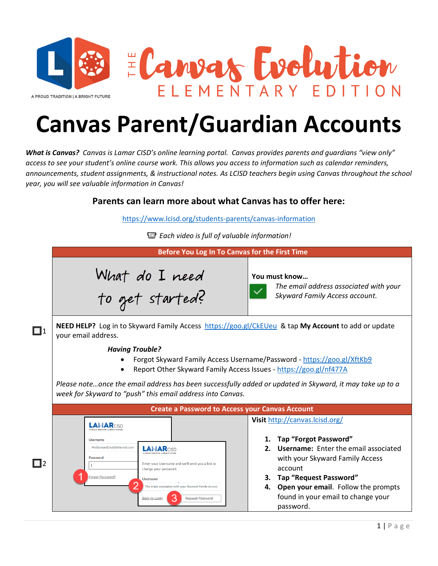

## **Canvas Parent/Guardian Accounts**

*What is Canvas? Canvas is Lamar CISD's online learning portal. Canvas provides parents and guardians "view only" access to see your student's online course work. This allows you access to information such as calendar reminders, announcements, student assignments, & instructional notes. As LCISD teachers begin using Canvas throughout the school year, you will see valuable information in Canvas!*

## **Parents can learn more about what Canvas has to offer here:**

<https://www.lcisd.org/students-parents/canvas-information>

*Each video is full of valuable information!*

|                                                        | Before You Log In To Canvas for the First Time                                                                                                                                                                                                                                                                                                  |                                                                                                       |
|--------------------------------------------------------|-------------------------------------------------------------------------------------------------------------------------------------------------------------------------------------------------------------------------------------------------------------------------------------------------------------------------------------------------|-------------------------------------------------------------------------------------------------------|
|                                                        | What do I need<br>to get started?                                                                                                                                                                                                                                                                                                               | You must know<br>The email address associated with your<br>Skyward Family Access account.             |
| $\Box$ 1                                               | NEED HELP? Log in to Skyward Family Access https://goo.gl/CkEUeu & tap My Account to add or update<br>your email address.                                                                                                                                                                                                                       |                                                                                                       |
|                                                        | <b>Having Trouble?</b><br>Forgot Skyward Family Access Username/Password - https://goo.gl/XftKb9<br>Report Other Skyward Family Access Issues - https://goo.gl/nf477A<br>Please noteonce the email address has been successfully added or updated in Skyward, it may take up to a<br>week for Skyward to "push" this email address into Canvas. |                                                                                                       |
| <b>Create a Password to Access your Canvas Account</b> |                                                                                                                                                                                                                                                                                                                                                 |                                                                                                       |
|                                                        | <b>LAMAR</b> CISD<br><b>Username</b><br>MySkywardEmail@internet.com<br><b>LAMAR</b> CISD<br>Password                                                                                                                                                                                                                                            | Visit http://canvas.lcisd.org/<br>1. Tap "Forgot Password"<br>2. Username: Enter the email associated |
| $\Box$ 2                                               | Enter your Username and we'll send you a link to<br>change your password.<br>Forgot Password?<br><b>Username</b>                                                                                                                                                                                                                                | with your Skyward Family Access<br>account<br>Tap "Request Password"<br>3.                            |
|                                                        | The email associated with your Skyward Family Access<br><b>Back to Login</b><br><b>Request Password</b>                                                                                                                                                                                                                                         | 4. Open your email. Follow the prompts<br>found in your email to change your<br>password.             |